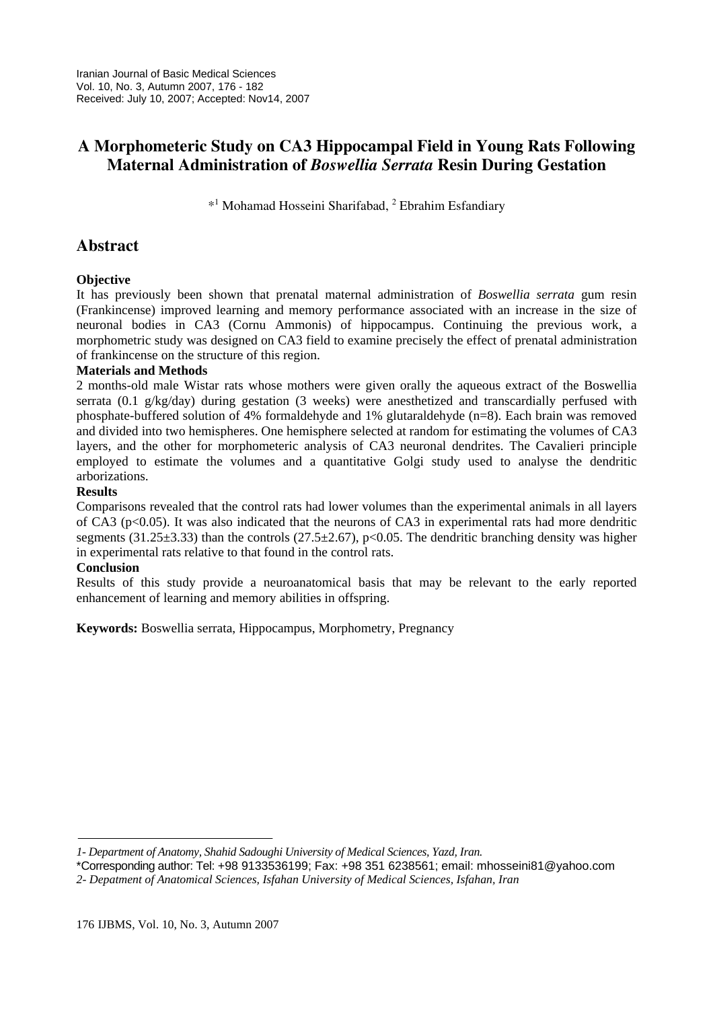# **A Morphometeric Study on CA3 Hippocampal Field in Young Rats Following Maternal Administration of** *Boswellia Serrata* **Resin During Gestation**

\*<sup>1</sup> Mohamad Hosseini Sharifabad, <sup>2</sup> Ebrahim Esfandiary

## **Abstract**

### **Objective**

It has previously been shown that prenatal maternal administration of *Boswellia serrata* gum resin (Frankincense) improved learning and memory performance associated with an increase in the size of neuronal bodies in CA3 (Cornu Ammonis) of hippocampus. Continuing the previous work, a morphometric study was designed on CA3 field to examine precisely the effect of prenatal administration of frankincense on the structure of this region.

#### **Materials and Methods**

2 months-old male Wistar rats whose mothers were given orally the aqueous extract of the Boswellia serrata (0.1  $g/kg/day$ ) during gestation (3 weeks) were anesthetized and transcardially perfused with phosphate-buffered solution of 4% formaldehyde and 1% glutaraldehyde (n=8). Each brain was removed and divided into two hemispheres. One hemisphere selected at random for estimating the volumes of CA3 layers, and the other for morphometeric analysis of CA3 neuronal dendrites. The Cavalieri principle employed to estimate the volumes and a quantitative Golgi study used to analyse the dendritic arborizations.

#### **Results**

Comparisons revealed that the control rats had lower volumes than the experimental animals in all layers of CA3 (p<0.05). It was also indicated that the neurons of CA3 in experimental rats had more dendritic segments (31.25 $\pm$ 3.33) than the controls (27.5 $\pm$ 2.67), p<0.05. The dendritic branching density was higher in experimental rats relative to that found in the control rats.

#### **Conclusion**

Results of this study provide a neuroanatomical basis that may be relevant to the early reported enhancement of learning and memory abilities in offspring.

**Keywords:** Boswellia serrata, Hippocampus, Morphometry, Pregnancy

*<sup>1-</sup> Department of Anatomy, Shahid Sadoughi University of Medical Sciences, Yazd, Iran.* 

<sup>\*</sup>Corresponding author: Tel: +98 9133536199; Fax: +98 351 6238561; email: mhosseini81@yahoo.com *2- Depatment of Anatomical Sciences, Isfahan University of Medical Sciences, Isfahan, Iran*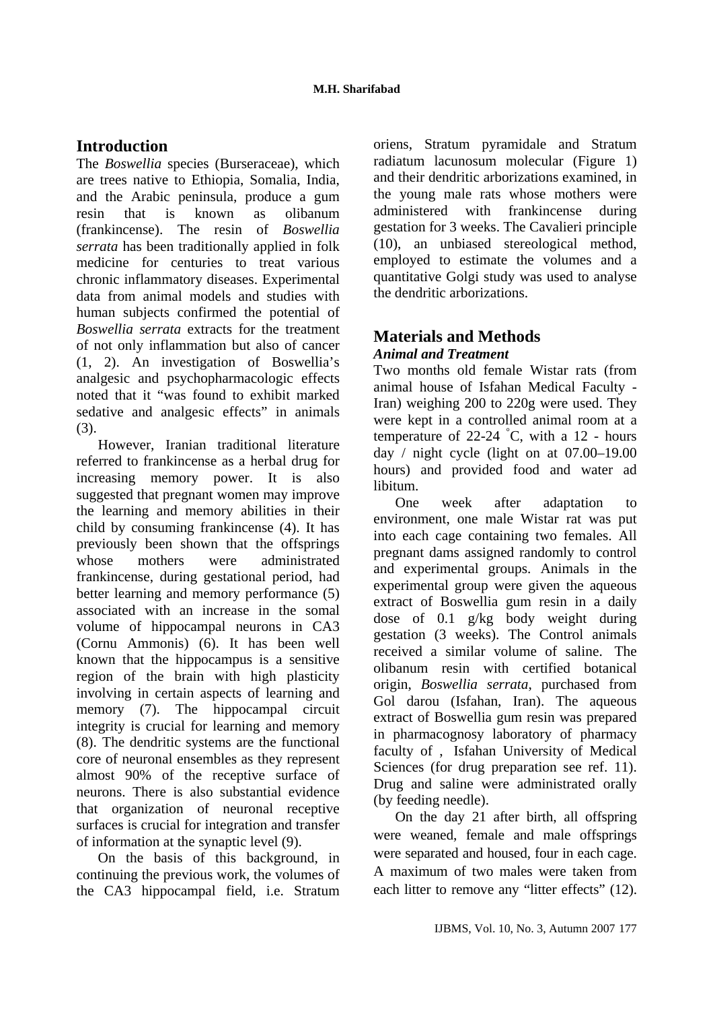### **Introduction**

The *Boswellia* species (Burseraceae), which are trees native to Ethiopia, Somalia, India, and the Arabic peninsula, produce a gum resin that is known as olibanum (frankincense). The resin of *Boswellia serrata* has been traditionally applied in folk medicine for centuries to treat various chronic inflammatory diseases. Experimental data from animal models and studies with human subjects confirmed the potential of *Boswellia serrata* extracts for the treatment of not only inflammation but also of cancer (1, 2). An investigation of Boswellia's analgesic and psychopharmacologic effects noted that it "was found to exhibit marked sedative and analgesic effects" in animals (3).

However, Iranian traditional literature referred to frankincense as a herbal drug for increasing memory power. It is also suggested that pregnant women may improve the learning and memory abilities in their child by consuming frankincense (4). It has previously been shown that the offsprings whose mothers were administrated frankincense, during gestational period, had better learning and memory performance (5) associated with an increase in the somal volume of hippocampal neurons in CA3 (Cornu Ammonis) (6). It has been well known that the hippocampus is a sensitive region of the brain with high plasticity involving in certain aspects of learning and memory (7). The hippocampal circuit integrity is crucial for learning and memory (8). The dendritic systems are the functional core of neuronal ensembles as they represent almost 90% of the receptive surface of neurons. There is also substantial evidence that organization of neuronal receptive surfaces is crucial for integration and transfer of information at the synaptic level (9).

On the basis of this background, in continuing the previous work, the volumes of the CA3 hippocampal field, i.e. Stratum oriens, Stratum pyramidale and Stratum radiatum lacunosum molecular (Figure 1) and their dendritic arborizations examined, in the young male rats whose mothers were administered with frankincense during gestation for 3 weeks. The Cavalieri principle (10), an unbiased stereological method, employed to estimate the volumes and a quantitative Golgi study was used to analyse the dendritic arborizations.

## **Materials and Methods**  *Animal and Treatment*

Two months old female Wistar rats (from animal house of Isfahan Medical Faculty - Iran) weighing 200 to 220g were used. They were kept in a controlled animal room at a temperature of 22-24  $^{\circ}$ C, with a 12 - hours day / night cycle (light on at 07.00–19.00 hours) and provided food and water ad libitum.

One week after adaptation to environment, one male Wistar rat was put into each cage containing two females. All pregnant dams assigned randomly to control and experimental groups. Animals in the experimental group were given the aqueous extract of Boswellia gum resin in a daily dose of 0.1 g/kg body weight during gestation (3 weeks). The Control animals received a similar volume of saline. The olibanum resin with certified botanical origin, *Boswellia serrata*, purchased from Gol darou (Isfahan, Iran). The aqueous extract of Boswellia gum resin was prepared in pharmacognosy laboratory of pharmacy faculty of , Isfahan University of Medical Sciences (for drug preparation see ref. 11). Drug and saline were administrated orally (by feeding needle).

On the day 21 after birth, all offspring were weaned, female and male offsprings were separated and housed, four in each cage. A maximum of two males were taken from each litter to remove any "litter effects" (12).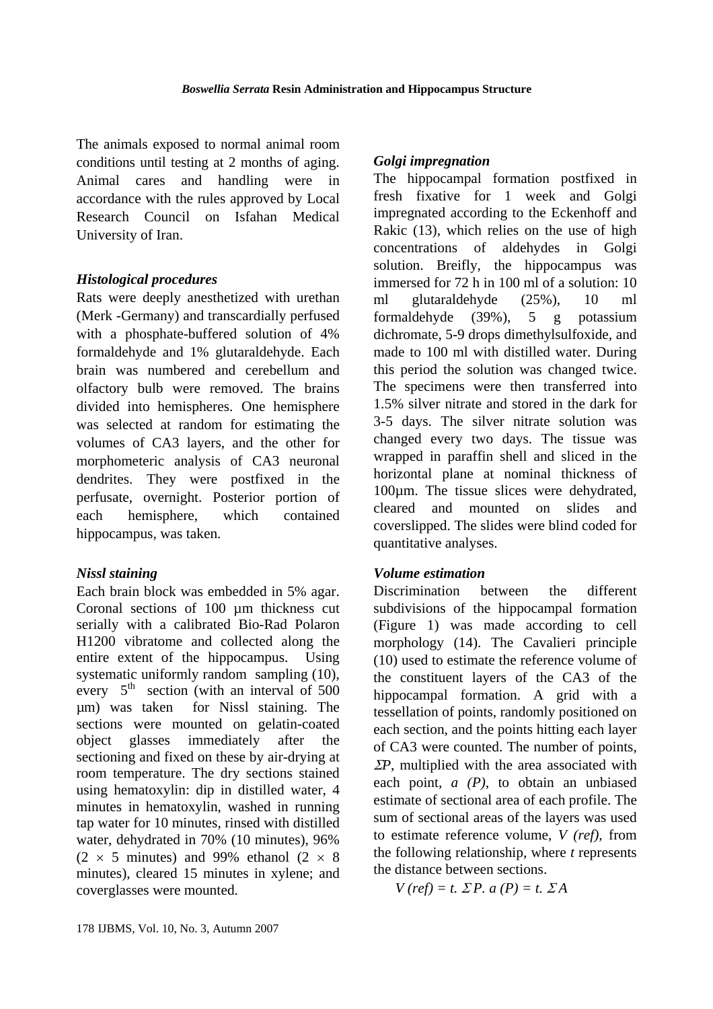The animals exposed to normal animal room conditions until testing at 2 months of aging. Animal cares and handling were in accordance with the rules approved by Local Research Council on Isfahan Medical University of Iran.

### *Histological procedures*

Rats were deeply anesthetized with urethan (Merk -Germany) and transcardially perfused with a phosphate-buffered solution of 4% formaldehyde and 1% glutaraldehyde. Each brain was numbered and cerebellum and olfactory bulb were removed. The brains divided into hemispheres. One hemisphere was selected at random for estimating the volumes of CA3 layers, and the other for morphometeric analysis of CA3 neuronal dendrites. They were postfixed in the perfusate, overnight. Posterior portion of each hemisphere, which contained hippocampus, was taken.

### *Nissl staining*

Each brain block was embedded in 5% agar. Coronal sections of 100 µm thickness cut serially with a calibrated Bio-Rad Polaron H1200 vibratome and collected along the entire extent of the hippocampus.Using systematic uniformly random sampling (10), every  $5<sup>th</sup>$  section (with an interval of 500 µm) was taken for Nissl staining. The sections were mounted on gelatin-coated object glasses immediately after the sectioning and fixed on these by air-drying at room temperature. The dry sections stained using hematoxylin: dip in distilled water, 4 minutes in hematoxylin, washed in running tap water for 10 minutes, rinsed with distilled water, dehydrated in 70% (10 minutes), 96%  $(2 \times 5$  minutes) and 99% ethanol  $(2 \times 8)$ minutes), cleared 15 minutes in xylene; and coverglasses were mounted.

### *Golgi impregnation*

The hippocampal formation postfixed in fresh fixative for 1 week and Golgi impregnated according to the Eckenhoff and Rakic (13), which relies on the use of high concentrations of aldehydes in Golgi solution. Breifly, the hippocampus was immersed for 72 h in 100 ml of a solution: 10 ml glutaraldehyde (25%), 10 ml formaldehyde (39%), 5 g potassium dichromate, 5-9 drops dimethylsulfoxide, and made to 100 ml with distilled water. During this period the solution was changed twice. The specimens were then transferred into 1.5% silver nitrate and stored in the dark for 3-5 days. The silver nitrate solution was changed every two days. The tissue was wrapped in paraffin shell and sliced in the horizontal plane at nominal thickness of 100µm. The tissue slices were dehydrated, cleared and mounted on slides and coverslipped. The slides were blind coded for quantitative analyses.

### *Volume estimation*

Discrimination between the different subdivisions of the hippocampal formation (Figure 1) was made according to cell morphology (14). The Cavalieri principle (10) used to estimate the reference volume of the constituent layers of the CA3 of the hippocampal formation. A grid with a tessellation of points, randomly positioned on each section, and the points hitting each layer of CA3 were counted. The number of points, <sup>Σ</sup>*P*, multiplied with the area associated with each point, *a (P),* to obtain an unbiased estimate of sectional area of each profile. The sum of sectional areas of the layers was used to estimate reference volume, *V (ref),* from the following relationship, where *t* represents the distance between sections.

$$
V (ref) = t. \ \Sigma P. \ a (P) = t. \ \Sigma A
$$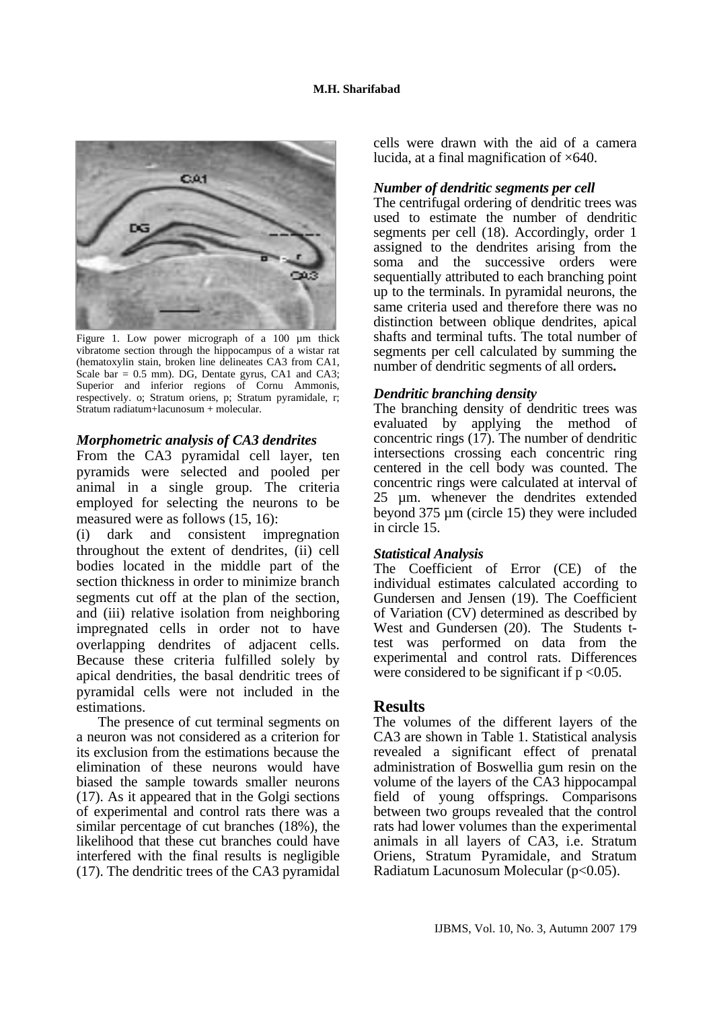

Figure 1. Low power micrograph of a 100 µm thick vibratome section through the hippocampus of a wistar rat (hematoxylin stain, broken line delineates CA3 from CA1, Scale bar =  $0.5$  mm). DG, Dentate gyrus, CA1 and CA3; Superior and inferior regions of Cornu Ammonis, respectively. o; Stratum oriens, p; Stratum pyramidale, r; Stratum radiatum+lacunosum + molecular.

#### *Morphometric analysis of CA3 dendrites*

From the CA3 pyramidal cell layer, ten pyramids were selected and pooled per animal in a single group. The criteria employed for selecting the neurons to be measured were as follows (15, 16):

(i) dark and consistent impregnation throughout the extent of dendrites, (ii) cell bodies located in the middle part of the section thickness in order to minimize branch segments cut off at the plan of the section, and (iii) relative isolation from neighboring impregnated cells in order not to have overlapping dendrites of adjacent cells. Because these criteria fulfilled solely by apical dendrities, the basal dendritic trees of pyramidal cells were not included in the estimations.

The presence of cut terminal segments on a neuron was not considered as a criterion for its exclusion from the estimations because the elimination of these neurons would have biased the sample towards smaller neurons (17). As it appeared that in the Golgi sections of experimental and control rats there was a similar percentage of cut branches (18%), the likelihood that these cut branches could have interfered with the final results is negligible (17). The dendritic trees of the CA3 pyramidal cells were drawn with the aid of a camera lucida, at a final magnification of  $\times 640$ .

#### *Number of dendritic segments per cell*

The centrifugal ordering of dendritic trees was used to estimate the number of dendritic segments per cell (18). Accordingly, order 1 assigned to the dendrites arising from the soma and the successive orders were sequentially attributed to each branching point up to the terminals. In pyramidal neurons, the same criteria used and therefore there was no distinction between oblique dendrites, apical shafts and terminal tufts. The total number of segments per cell calculated by summing the number of dendritic segments of all orders**.** 

### *Dendritic branching density*

The branching density of dendritic trees was evaluated by applying the method of concentric rings (17). The number of dendritic intersections crossing each concentric ring centered in the cell body was counted. The concentric rings were calculated at interval of 25 µm. whenever the dendrites extended beyond 375 µm (circle 15) they were included in circle 15.

#### *Statistical Analysis*

The Coefficient of Error (CE) of the individual estimates calculated according to Gundersen and Jensen (19). The Coefficient of Variation (CV) determined as described by West and Gundersen (20). The Students ttest was performed on data from the experimental and control rats. Differences were considered to be significant if  $p < 0.05$ .

### **Results**

The volumes of the different layers of the CA3 are shown in Table 1. Statistical analysis revealed a significant effect of prenatal administration of Boswellia gum resin on the volume of the layers of the CA3 hippocampal field of young offsprings. Comparisons between two groups revealed that the control rats had lower volumes than the experimental animals in all layers of CA3, i.e. Stratum Oriens, Stratum Pyramidale, and Stratum Radiatum Lacunosum Molecular (p<0.05).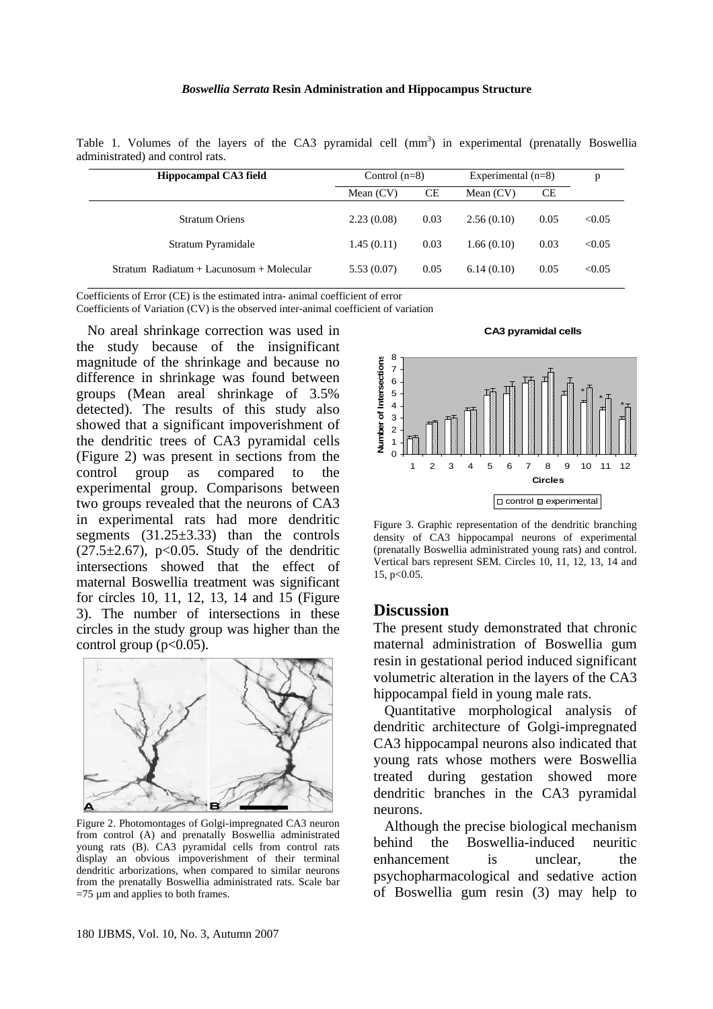#### *Boswellia Serrata* **Resin Administration and Hippocampus Structure**

Table 1. Volumes of the layers of the CA3 pyramidal cell  $(mm<sup>3</sup>)$  in experimental (prenatally Boswellia administrated) and control rats.

| Hippocampal CA3 field                      | Control $(n=8)$ |      | Experimental $(n=8)$ |      | p      |
|--------------------------------------------|-----------------|------|----------------------|------|--------|
|                                            | Mean $(CV)$     | СE   | Mean $(CV)$          | СE   |        |
| <b>Stratum Oriens</b>                      | 2.23(0.08)      | 0.03 | 2.56(0.10)           | 0.05 | < 0.05 |
| Stratum Pyramidale                         | 1.45(0.11)      | 0.03 | 1.66(0.10)           | 0.03 | < 0.05 |
| $Stratum$ Radiatum + Lacunosum + Molecular | 5.53(0.07)      | 0.05 | 6.14(0.10)           | 0.05 | < 0.05 |

Coefficients of Error (CE) is the estimated intra- animal coefficient of error

Coefficients of Variation (CV) is the observed inter-animal coefficient of variation

No areal shrinkage correction was used in the study because of the insignificant magnitude of the shrinkage and because no difference in shrinkage was found between groups (Mean areal shrinkage of 3.5% detected). The results of this study also showed that a significant impoverishment of the dendritic trees of CA3 pyramidal cells (Figure 2) was present in sections from the control group as compared to the experimental group. Comparisons between two groups revealed that the neurons of CA3 in experimental rats had more dendritic segments  $(31.25\pm3.33)$  than the controls  $(27.5 \pm 2.67)$ , p<0.05. Study of the dendritic intersections showed that the effect of maternal Boswellia treatment was significant for circles 10, 11, 12, 13, 14 and 15 (Figure 3). The number of intersections in these circles in the study group was higher than the control group  $(p<0.05)$ .



Figure 2. Photomontages of Golgi-impregnated CA3 neuron from control (A) and prenatally Boswellia administrated young rats (B). CA3 pyramidal cells from control rats display an obvious impoverishment of their terminal dendritic arborizations, when compared to similar neurons from the prenatally Boswellia administrated rats. Scale bar  $=75 \mu m$  and applies to both frames.

**CA3 pyramidal cells**



Figure 3. Graphic representation of the dendritic branching density of CA3 hippocampal neurons of experimental (prenatally Boswellia administrated young rats) and control. Vertical bars represent SEM. Circles 10, 11, 12, 13, 14 and 15, p<0.05.

#### **Discussion**

The present study demonstrated that chronic maternal administration of Boswellia gum resin in gestational period induced significant volumetric alteration in the layers of the CA3 hippocampal field in young male rats.

Quantitative morphological analysis of dendritic architecture of Golgi-impregnated CA3 hippocampal neurons also indicated that young rats whose mothers were Boswellia treated during gestation showed more dendritic branches in the CA3 pyramidal neurons.

Although the precise biological mechanism behind the Boswellia-induced neuritic enhancement is unclear, the psychopharmacological and sedative action of Boswellia gum resin (3) may help to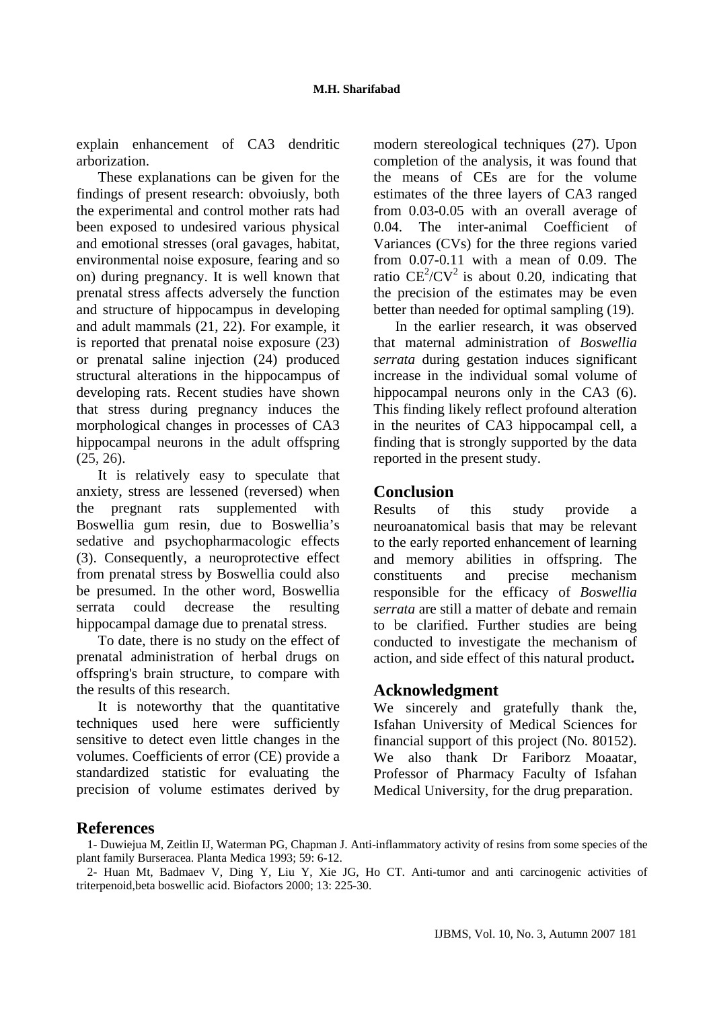explain enhancement of CA3 dendritic arborization.

These explanations can be given for the findings of present research: obvoiusly, both the experimental and control mother rats had been exposed to undesired various physical and emotional stresses (oral gavages, habitat, environmental noise exposure, fearing and so on) during pregnancy. It is well known that prenatal stress affects adversely the function and structure of hippocampus in developing and adult mammals (21, 22). For example, it is reported that prenatal noise exposure (23) or prenatal saline injection (24) produced structural alterations in the hippocampus of developing rats. Recent studies have shown that stress during pregnancy induces the morphological changes in processes of CA3 hippocampal neurons in the adult offspring (25, 26).

It is relatively easy to speculate that anxiety, stress are lessened (reversed) when the pregnant rats supplemented with Boswellia gum resin, due to Boswellia's sedative and psychopharmacologic effects (3). Consequently, a neuroprotective effect from prenatal stress by Boswellia could also be presumed. In the other word, Boswellia serrata could decrease the resulting hippocampal damage due to prenatal stress.

To date, there is no study on the effect of prenatal administration of herbal drugs on offspring's brain structure, to compare with the results of this research.

It is noteworthy that the quantitative techniques used here were sufficiently sensitive to detect even little changes in the volumes. Coefficients of error (CE) provide a standardized statistic for evaluating the precision of volume estimates derived by modern stereological techniques (27). Upon completion of the analysis, it was found that the means of CEs are for the volume estimates of the three layers of CA3 ranged from 0.03-0.05 with an overall average of 0.04. The inter-animal Coefficient of Variances (CVs) for the three regions varied from 0.07-0.11 with a mean of 0.09. The ratio  $CE^2/CV^2$  is about 0.20, indicating that the precision of the estimates may be even better than needed for optimal sampling (19).

In the earlier research, it was observed that maternal administration of *Boswellia serrata* during gestation induces significant increase in the individual somal volume of hippocampal neurons only in the CA3 (6). This finding likely reflect profound alteration in the neurites of CA3 hippocampal cell, a finding that is strongly supported by the data reported in the present study.

### **Conclusion**

Results of this study provide a neuroanatomical basis that may be relevant to the early reported enhancement of learning and memory abilities in offspring. The constituents and precise mechanism responsible for the efficacy of *Boswellia serrata* are still a matter of debate and remain to be clarified. Further studies are being conducted to investigate the mechanism of action, and side effect of this natural product**.** 

### **Acknowledgment**

We sincerely and gratefully thank the*,* Isfahan University of Medical Sciences for financial support of this project (No. 80152). We also thank Dr Fariborz Moaatar, Professor of Pharmacy Faculty of Isfahan Medical University, for the drug preparation.

### **References**

1- Duwiejua M, Zeitlin IJ, Waterman PG, Chapman J. Anti-inflammatory activity of resins from some species of the plant family Burseracea. Planta Medica 1993; 59: 6-12.

2- Huan Mt, Badmaev V, Ding Y, Liu Y, Xie JG, Ho CT. Anti-tumor and anti carcinogenic activities of triterpenoid,beta boswellic acid. Biofactors 2000; 13: 225-30.